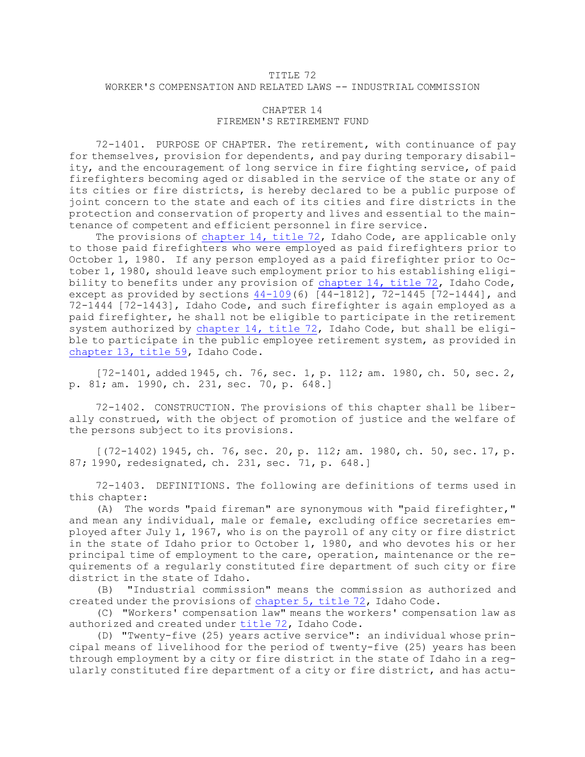## TITLE 72 WORKER'S COMPENSATION AND RELATED LAWS -- INDUSTRIAL COMMISSION

## CHAPTER 14 FIREMEN'S RETIREMENT FUND

72-1401. PURPOSE OF CHAPTER. The retirement, with continuance of pay for themselves, provision for dependents, and pay during temporary disability, and the encouragement of long service in fire fighting service, of paid firefighters becoming aged or disabled in the service of the state or any of its cities or fire districts, is hereby declared to be <sup>a</sup> public purpose of joint concern to the state and each of its cities and fire districts in the protection and conservation of property and lives and essential to the maintenance of competent and efficient personnel in fire service.

The provisions of [chapter](https://legislature.idaho.gov/statutesrules/idstat/Title72/T72CH14) 14, title 72, Idaho Code, are applicable only to those paid firefighters who were employed as paid firefighters prior to October 1, 1980. If any person employed as <sup>a</sup> paid firefighter prior to October 1, 1980, should leave such employment prior to his establishing eligibility to benefits under any provision of [chapter](https://legislature.idaho.gov/statutesrules/idstat/Title72/T72CH14) 14, title 72, Idaho Code, except as provided by sections [44-109](https://legislature.idaho.gov/statutesrules/idstat/Title44/T44CH1/SECT44-109)(6) [44-1812], 72-1445 [72-1444], and 72-1444 [72-1443], Idaho Code, and such firefighter is again employed as <sup>a</sup> paid firefighter, he shall not be eligible to participate in the retirement system authorized by [chapter](https://legislature.idaho.gov/statutesrules/idstat/Title72/T72CH14) 14, title 72, Idaho Code, but shall be eligible to participate in the public employee retirement system, as provided in [chapter](https://legislature.idaho.gov/statutesrules/idstat/Title59/T59CH13) 13, title 59, Idaho Code.

[72-1401, added 1945, ch. 76, sec. 1, p. 112; am. 1980, ch. 50, sec. 2, p. 81; am. 1990, ch. 231, sec. 70, p. 648.]

72-1402. CONSTRUCTION. The provisions of this chapter shall be liberally construed, with the object of promotion of justice and the welfare of the persons subject to its provisions.

[(72-1402) 1945, ch. 76, sec. 20, p. 112; am. 1980, ch. 50, sec. 17, p. 87; 1990, redesignated, ch. 231, sec. 71, p. 648.]

72-1403. DEFINITIONS. The following are definitions of terms used in this chapter:

(A) The words "paid fireman" are synonymous with "paid firefighter," and mean any individual, male or female, excluding office secretaries employed after July 1, 1967, who is on the payroll of any city or fire district in the state of Idaho prior to October 1, 1980, and who devotes his or her principal time of employment to the care, operation, maintenance or the requirements of <sup>a</sup> regularly constituted fire department of such city or fire district in the state of Idaho.

(B) "Industrial commission" means the commission as authorized and created under the provisions of [chapter](https://legislature.idaho.gov/statutesrules/idstat/Title72/T72CH5) 5, title 72, Idaho Code.

(C) "Workers' compensation law" means the workers' compensation law as authorized and created under [title](https://legislature.idaho.gov/statutesrules/idstat/Title72/) 72, Idaho Code.

(D) "Twenty-five (25) years active service": an individual whose principal means of livelihood for the period of twenty-five (25) years has been through employment by <sup>a</sup> city or fire district in the state of Idaho in <sup>a</sup> regularly constituted fire department of <sup>a</sup> city or fire district, and has actu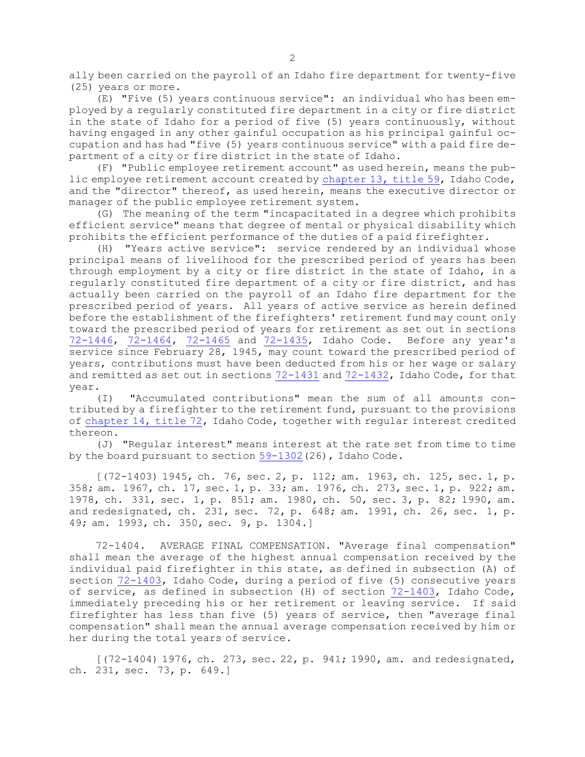ally been carried on the payroll of an Idaho fire department for twenty-five (25) years or more.

(E) "Five (5) years continuous service": an individual who has been employed by <sup>a</sup> regularly constituted fire department in <sup>a</sup> city or fire district in the state of Idaho for <sup>a</sup> period of five (5) years continuously, without having engaged in any other gainful occupation as his principal gainful occupation and has had "five (5) years continuous service" with <sup>a</sup> paid fire department of <sup>a</sup> city or fire district in the state of Idaho.

(F) "Public employee retirement account" as used herein, means the public employee retirement account created by [chapter](https://legislature.idaho.gov/statutesrules/idstat/Title59/T59CH13) 13, title 59, Idaho Code, and the "director" thereof, as used herein, means the executive director or manager of the public employee retirement system.

(G) The meaning of the term "incapacitated in <sup>a</sup> degree which prohibits efficient service" means that degree of mental or physical disability which prohibits the efficient performance of the duties of <sup>a</sup> paid firefighter.

(H) "Years active service": service rendered by an individual whose principal means of livelihood for the prescribed period of years has been through employment by <sup>a</sup> city or fire district in the state of Idaho, in <sup>a</sup> regularly constituted fire department of <sup>a</sup> city or fire district, and has actually been carried on the payroll of an Idaho fire department for the prescribed period of years. All years of active service as herein defined before the establishment of the firefighters' retirement fund may count only toward the prescribed period of years for retirement as set out in sections [72-1446](https://legislature.idaho.gov/statutesrules/idstat/Title72/T72CH14/SECT72-1446), [72-1464](https://legislature.idaho.gov/statutesrules/idstat/Title72/T72CH14/SECT72-1464), [72-1465](https://legislature.idaho.gov/statutesrules/idstat/Title72/T72CH14/SECT72-1465) and [72-1435](https://legislature.idaho.gov/statutesrules/idstat/Title72/T72CH14/SECT72-1435), Idaho Code. Before any year's service since February 28, 1945, may count toward the prescribed period of years, contributions must have been deducted from his or her wage or salary and remitted as set out in sections [72-1431](https://legislature.idaho.gov/statutesrules/idstat/Title72/T72CH14/SECT72-1431) and [72-1432](https://legislature.idaho.gov/statutesrules/idstat/Title72/T72CH14/SECT72-1432), Idaho Code, for that year.

(I) "Accumulated contributions" mean the sum of all amounts contributed by <sup>a</sup> firefighter to the retirement fund, pursuant to the provisions of [chapter](https://legislature.idaho.gov/statutesrules/idstat/Title72/T72CH14) 14, title 72, Idaho Code, together with regular interest credited thereon.

(J) "Regular interest" means interest at the rate set from time to time by the board pursuant to section [59-1302](https://legislature.idaho.gov/statutesrules/idstat/Title59/T59CH13/SECT59-1302)(26), Idaho Code.

[(72-1403) 1945, ch. 76, sec. 2, p. 112; am. 1963, ch. 125, sec. 1, p. 358; am. 1967, ch. 17, sec. 1, p. 33; am. 1976, ch. 273, sec. 1, p. 922; am. 1978, ch. 331, sec. 1, p. 851; am. 1980, ch. 50, sec. 3, p. 82; 1990, am. and redesignated, ch. 231, sec. 72, p. 648; am. 1991, ch. 26, sec. 1, p. 49; am. 1993, ch. 350, sec. 9, p. 1304.]

72-1404. AVERAGE FINAL COMPENSATION. "Average final compensation" shall mean the average of the highest annual compensation received by the individual paid firefighter in this state, as defined in subsection (A) of section [72-1403](https://legislature.idaho.gov/statutesrules/idstat/Title72/T72CH14/SECT72-1403), Idaho Code, during <sup>a</sup> period of five (5) consecutive years of service, as defined in subsection (H) of section [72-1403](https://legislature.idaho.gov/statutesrules/idstat/Title72/T72CH14/SECT72-1403), Idaho Code, immediately preceding his or her retirement or leaving service. If said firefighter has less than five (5) years of service, then "average final compensation" shall mean the annual average compensation received by him or her during the total years of service.

[(72-1404) 1976, ch. 273, sec. 22, p. 941; 1990, am. and redesignated, ch. 231, sec. 73, p. 649.]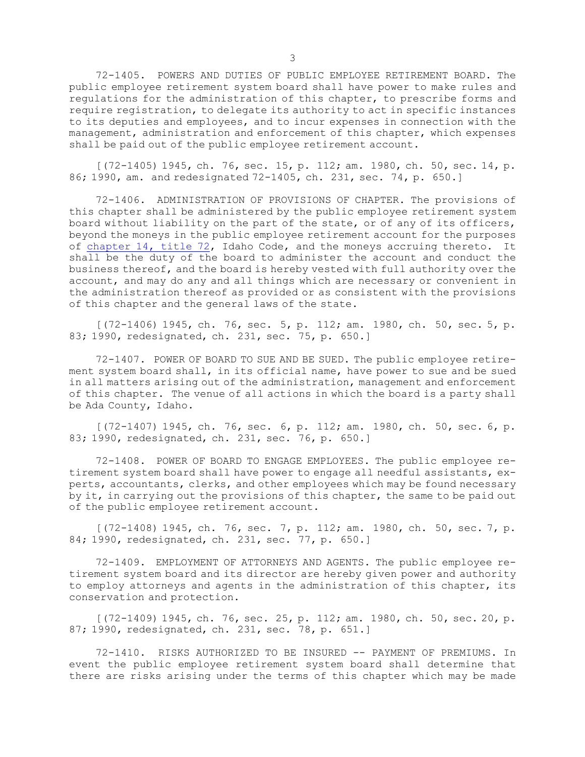72-1405. POWERS AND DUTIES OF PUBLIC EMPLOYEE RETIREMENT BOARD. The public employee retirement system board shall have power to make rules and regulations for the administration of this chapter, to prescribe forms and require registration, to delegate its authority to act in specific instances to its deputies and employees, and to incur expenses in connection with the management, administration and enforcement of this chapter, which expenses shall be paid out of the public employee retirement account.

[(72-1405) 1945, ch. 76, sec. 15, p. 112; am. 1980, ch. 50, sec. 14, p. 86; 1990, am. and redesignated 72-1405, ch. 231, sec. 74, p. 650.]

72-1406. ADMINISTRATION OF PROVISIONS OF CHAPTER. The provisions of this chapter shall be administered by the public employee retirement system board without liability on the part of the state, or of any of its officers, beyond the moneys in the public employee retirement account for the purposes of [chapter](https://legislature.idaho.gov/statutesrules/idstat/Title72/T72CH14) 14, title 72, Idaho Code, and the moneys accruing thereto. It shall be the duty of the board to administer the account and conduct the business thereof, and the board is hereby vested with full authority over the account, and may do any and all things which are necessary or convenient in the administration thereof as provided or as consistent with the provisions of this chapter and the general laws of the state.

[(72-1406) 1945, ch. 76, sec. 5, p. 112; am. 1980, ch. 50, sec. 5, p. 83; 1990, redesignated, ch. 231, sec. 75, p. 650.]

72-1407. POWER OF BOARD TO SUE AND BE SUED. The public employee retirement system board shall, in its official name, have power to sue and be sued in all matters arising out of the administration, management and enforcement of this chapter. The venue of all actions in which the board is <sup>a</sup> party shall be Ada County, Idaho.

 $[(72-1407)$  1945, ch. 76, sec. 6, p. 112; am. 1980, ch. 50, sec. 6, p. 83; 1990, redesignated, ch. 231, sec. 76, p. 650.]

72-1408. POWER OF BOARD TO ENGAGE EMPLOYEES. The public employee retirement system board shall have power to engage all needful assistants, experts, accountants, clerks, and other employees which may be found necessary by it, in carrying out the provisions of this chapter, the same to be paid out of the public employee retirement account.

 $[(72-1408) 1945, ch. 76, sec. 7, p. 112; am. 1980, ch. 50, sec. 7, p.$ 84; 1990, redesignated, ch. 231, sec. 77, p. 650.]

72-1409. EMPLOYMENT OF ATTORNEYS AND AGENTS. The public employee retirement system board and its director are hereby given power and authority to employ attorneys and agents in the administration of this chapter, its conservation and protection.

[(72-1409) 1945, ch. 76, sec. 25, p. 112; am. 1980, ch. 50, sec. 20, p. 87; 1990, redesignated, ch. 231, sec. 78, p. 651.]

72-1410. RISKS AUTHORIZED TO BE INSURED -- PAYMENT OF PREMIUMS. In event the public employee retirement system board shall determine that there are risks arising under the terms of this chapter which may be made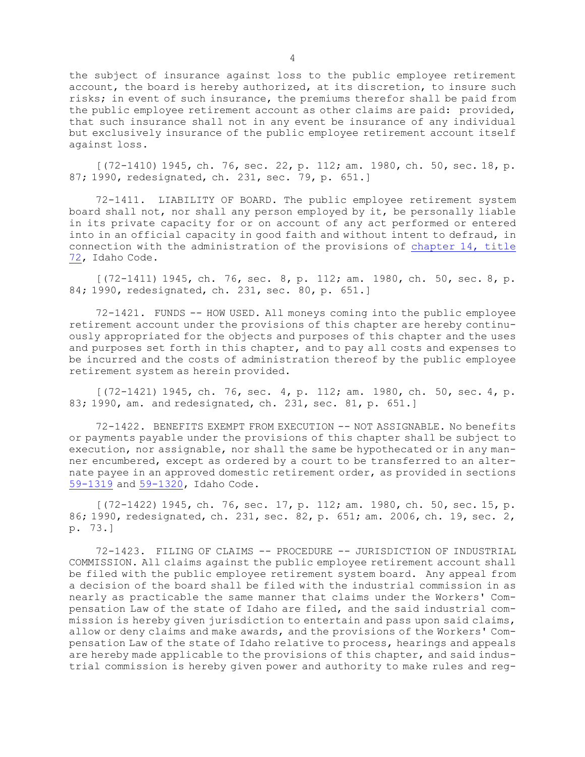the subject of insurance against loss to the public employee retirement account, the board is hereby authorized, at its discretion, to insure such risks; in event of such insurance, the premiums therefor shall be paid from the public employee retirement account as other claims are paid: provided, that such insurance shall not in any event be insurance of any individual but exclusively insurance of the public employee retirement account itself against loss.

[(72-1410) 1945, ch. 76, sec. 22, p. 112; am. 1980, ch. 50, sec. 18, p. 87; 1990, redesignated, ch. 231, sec. 79, p. 651.]

72-1411. LIABILITY OF BOARD. The public employee retirement system board shall not, nor shall any person employed by it, be personally liable in its private capacity for or on account of any act performed or entered into in an official capacity in good faith and without intent to defraud, in connection with the administration of the provisions of [chapter](https://legislature.idaho.gov/statutesrules/idstat/Title72/T72CH14) 14, title [72](https://legislature.idaho.gov/statutesrules/idstat/Title72/T72CH14), Idaho Code.

[(72-1411) 1945, ch. 76, sec. 8, p. 112; am. 1980, ch. 50, sec. 8, p. 84; 1990, redesignated, ch. 231, sec. 80, p. 651.]

72-1421. FUNDS -- HOW USED. All moneys coming into the public employee retirement account under the provisions of this chapter are hereby continuously appropriated for the objects and purposes of this chapter and the uses and purposes set forth in this chapter, and to pay all costs and expenses to be incurred and the costs of administration thereof by the public employee retirement system as herein provided.

[(72-1421) 1945, ch. 76, sec. 4, p. 112; am. 1980, ch. 50, sec. 4, p. 83; 1990, am. and redesignated, ch. 231, sec. 81, p. 651.]

72-1422. BENEFITS EXEMPT FROM EXECUTION -- NOT ASSIGNABLE. No benefits or payments payable under the provisions of this chapter shall be subject to execution, nor assignable, nor shall the same be hypothecated or in any manner encumbered, except as ordered by <sup>a</sup> court to be transferred to an alternate payee in an approved domestic retirement order, as provided in sections [59-1319](https://legislature.idaho.gov/statutesrules/idstat/Title59/T59CH13/SECT59-1319) and [59-1320](https://legislature.idaho.gov/statutesrules/idstat/Title59/T59CH13/SECT59-1320), Idaho Code.

[(72-1422) 1945, ch. 76, sec. 17, p. 112; am. 1980, ch. 50, sec. 15, p. 86; 1990, redesignated, ch. 231, sec. 82, p. 651; am. 2006, ch. 19, sec. 2, p. 73.]

72-1423. FILING OF CLAIMS -- PROCEDURE -- JURISDICTION OF INDUSTRIAL COMMISSION. All claims against the public employee retirement account shall be filed with the public employee retirement system board. Any appeal from <sup>a</sup> decision of the board shall be filed with the industrial commission in as nearly as practicable the same manner that claims under the Workers' Compensation Law of the state of Idaho are filed, and the said industrial commission is hereby given jurisdiction to entertain and pass upon said claims, allow or deny claims and make awards, and the provisions of the Workers' Compensation Law of the state of Idaho relative to process, hearings and appeals are hereby made applicable to the provisions of this chapter, and said industrial commission is hereby given power and authority to make rules and reg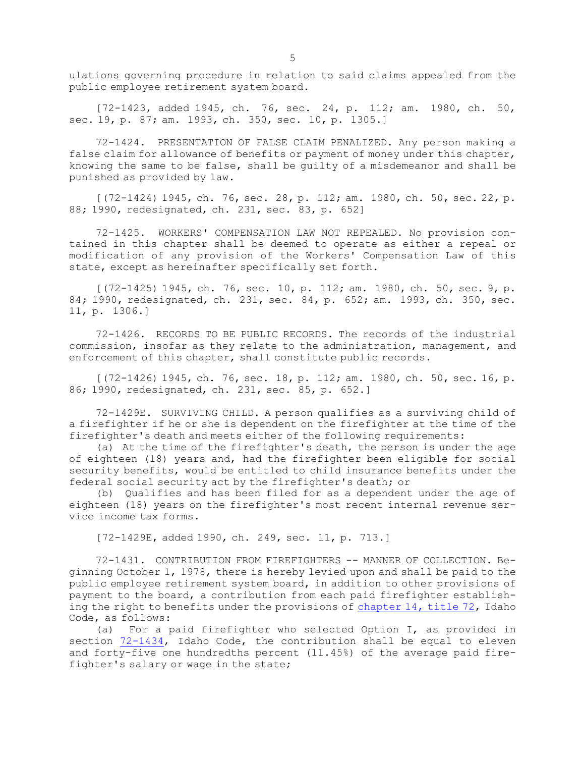ulations governing procedure in relation to said claims appealed from the public employee retirement system board.

[72-1423, added 1945, ch. 76, sec. 24, p. 112; am. 1980, ch. 50, sec. 19, p. 87; am. 1993, ch. 350, sec. 10, p. 1305.]

72-1424. PRESENTATION OF FALSE CLAIM PENALIZED. Any person making <sup>a</sup> false claim for allowance of benefits or payment of money under this chapter, knowing the same to be false, shall be guilty of <sup>a</sup> misdemeanor and shall be punished as provided by law.

[(72-1424) 1945, ch. 76, sec. 28, p. 112; am. 1980, ch. 50, sec. 22, p. 88; 1990, redesignated, ch. 231, sec. 83, p. 652]

72-1425. WORKERS' COMPENSATION LAW NOT REPEALED. No provision contained in this chapter shall be deemed to operate as either <sup>a</sup> repeal or modification of any provision of the Workers' Compensation Law of this state, except as hereinafter specifically set forth.

[(72-1425) 1945, ch. 76, sec. 10, p. 112; am. 1980, ch. 50, sec. 9, p. 84; 1990, redesignated, ch. 231, sec. 84, p. 652; am. 1993, ch. 350, sec. 11, p. 1306.]

72-1426. RECORDS TO BE PUBLIC RECORDS. The records of the industrial commission, insofar as they relate to the administration, management, and enforcement of this chapter, shall constitute public records.

[(72-1426) 1945, ch. 76, sec. 18, p. 112; am. 1980, ch. 50, sec. 16, p. 86; 1990, redesignated, ch. 231, sec. 85, p. 652.]

72-1429E. SURVIVING CHILD. <sup>A</sup> person qualifies as <sup>a</sup> surviving child of <sup>a</sup> firefighter if he or she is dependent on the firefighter at the time of the firefighter's death and meets either of the following requirements:

(a) At the time of the firefighter's death, the person is under the age of eighteen (18) years and, had the firefighter been eligible for social security benefits, would be entitled to child insurance benefits under the federal social security act by the firefighter's death; or

(b) Qualifies and has been filed for as <sup>a</sup> dependent under the age of eighteen (18) years on the firefighter's most recent internal revenue service income tax forms.

[72-1429E, added 1990, ch. 249, sec. 11, p. 713.]

72-1431. CONTRIBUTION FROM FIREFIGHTERS -- MANNER OF COLLECTION. Beginning October 1, 1978, there is hereby levied upon and shall be paid to the public employee retirement system board, in addition to other provisions of payment to the board, <sup>a</sup> contribution from each paid firefighter establishing the right to benefits under the provisions of [chapter](https://legislature.idaho.gov/statutesrules/idstat/Title72/T72CH14) 14, title 72, Idaho Code, as follows:

(a) For <sup>a</sup> paid firefighter who selected Option I, as provided in section  $72-1434$ , Idaho Code, the contribution shall be equal to eleven and forty-five one hundredths percent (11.45%) of the average paid firefighter's salary or wage in the state;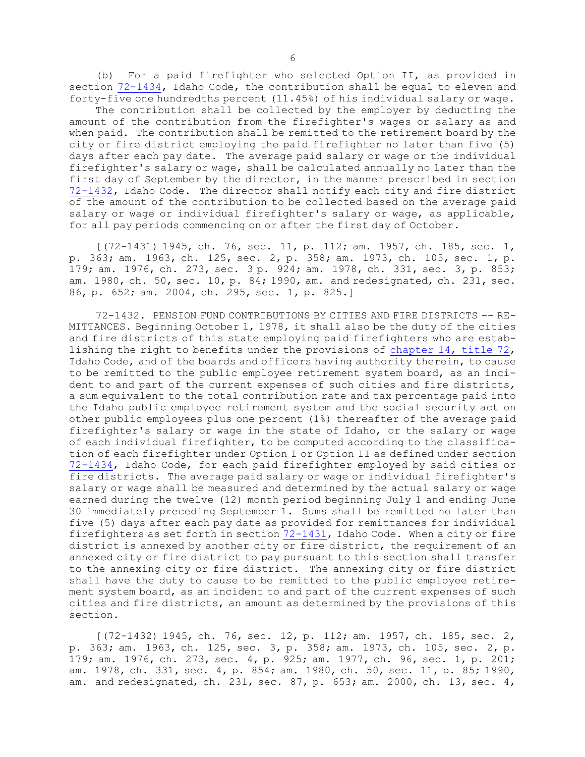(b) For <sup>a</sup> paid firefighter who selected Option II, as provided in section [72-1434](https://legislature.idaho.gov/statutesrules/idstat/Title72/T72CH14/SECT72-1434), Idaho Code, the contribution shall be equal to eleven and forty-five one hundredths percent (11.45%) of his individual salary or wage.

The contribution shall be collected by the employer by deducting the amount of the contribution from the firefighter's wages or salary as and when paid. The contribution shall be remitted to the retirement board by the city or fire district employing the paid firefighter no later than five (5) days after each pay date. The average paid salary or wage or the individual firefighter's salary or wage, shall be calculated annually no later than the first day of September by the director, in the manner prescribed in section [72-1432](https://legislature.idaho.gov/statutesrules/idstat/Title72/T72CH14/SECT72-1432), Idaho Code. The director shall notify each city and fire district of the amount of the contribution to be collected based on the average paid salary or wage or individual firefighter's salary or wage, as applicable, for all pay periods commencing on or after the first day of October.

[(72-1431) 1945, ch. 76, sec. 11, p. 112; am. 1957, ch. 185, sec. 1, p. 363; am. 1963, ch. 125, sec. 2, p. 358; am. 1973, ch. 105, sec. 1, p. 179; am. 1976, ch. 273, sec. 3 p. 924; am. 1978, ch. 331, sec. 3, p. 853; am. 1980, ch. 50, sec. 10, p. 84; 1990, am. and redesignated, ch. 231, sec. 86, p. 652; am. 2004, ch. 295, sec. 1, p. 825.]

72-1432. PENSION FUND CONTRIBUTIONS BY CITIES AND FIRE DISTRICTS -- RE-MITTANCES. Beginning October 1, 1978, it shall also be the duty of the cities and fire districts of this state employing paid firefighters who are establishing the right to benefits under the provisions of [chapter](https://legislature.idaho.gov/statutesrules/idstat/Title72/T72CH14) 14, title 72, Idaho Code, and of the boards and officers having authority therein, to cause to be remitted to the public employee retirement system board, as an incident to and part of the current expenses of such cities and fire districts, <sup>a</sup> sum equivalent to the total contribution rate and tax percentage paid into the Idaho public employee retirement system and the social security act on other public employees plus one percent (1%) thereafter of the average paid firefighter's salary or wage in the state of Idaho, or the salary or wage of each individual firefighter, to be computed according to the classification of each firefighter under Option <sup>I</sup> or Option II as defined under section [72-1434](https://legislature.idaho.gov/statutesrules/idstat/Title72/T72CH14/SECT72-1434), Idaho Code, for each paid firefighter employed by said cities or fire districts. The average paid salary or wage or individual firefighter's salary or wage shall be measured and determined by the actual salary or wage earned during the twelve (12) month period beginning July 1 and ending June 30 immediately preceding September 1. Sums shall be remitted no later than five (5) days after each pay date as provided for remittances for individual firefighters as set forth in section  $72-1431$ , Idaho Code. When a city or fire district is annexed by another city or fire district, the requirement of an annexed city or fire district to pay pursuant to this section shall transfer to the annexing city or fire district. The annexing city or fire district shall have the duty to cause to be remitted to the public employee retirement system board, as an incident to and part of the current expenses of such cities and fire districts, an amount as determined by the provisions of this section.

[(72-1432) 1945, ch. 76, sec. 12, p. 112; am. 1957, ch. 185, sec. 2, p. 363; am. 1963, ch. 125, sec. 3, p. 358; am. 1973, ch. 105, sec. 2, p. 179; am. 1976, ch. 273, sec. 4, p. 925; am. 1977, ch. 96, sec. 1, p. 201; am. 1978, ch. 331, sec. 4, p. 854; am. 1980, ch. 50, sec. 11, p. 85; 1990, am. and redesignated, ch. 231, sec. 87, p. 653; am. 2000, ch. 13, sec. 4,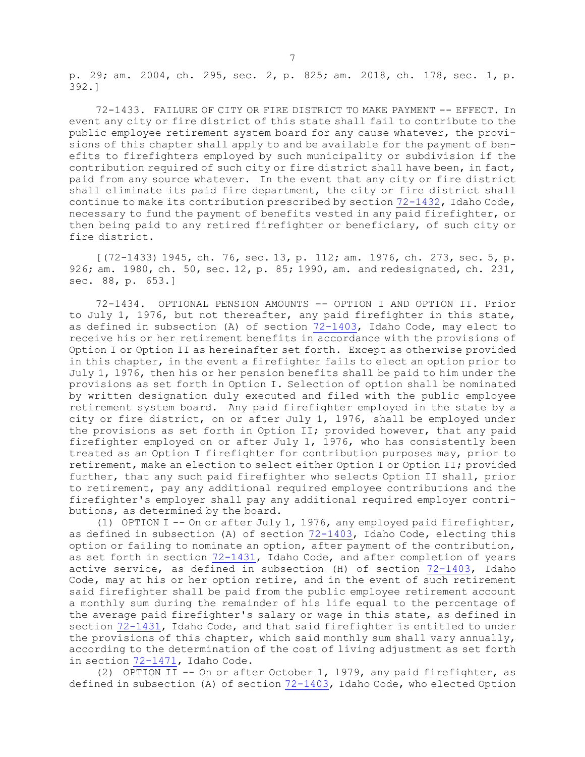p. 29; am. 2004, ch. 295, sec. 2, p. 825; am. 2018, ch. 178, sec. 1, p. 392.]

72-1433. FAILURE OF CITY OR FIRE DISTRICT TO MAKE PAYMENT -- EFFECT. In event any city or fire district of this state shall fail to contribute to the public employee retirement system board for any cause whatever, the provisions of this chapter shall apply to and be available for the payment of benefits to firefighters employed by such municipality or subdivision if the contribution required of such city or fire district shall have been, in fact, paid from any source whatever. In the event that any city or fire district shall eliminate its paid fire department, the city or fire district shall continue to make its contribution prescribed by section [72-1432](https://legislature.idaho.gov/statutesrules/idstat/Title72/T72CH14/SECT72-1432), Idaho Code, necessary to fund the payment of benefits vested in any paid firefighter, or then being paid to any retired firefighter or beneficiary, of such city or fire district.

[(72-1433) 1945, ch. 76, sec. 13, p. 112; am. 1976, ch. 273, sec. 5, p. 926; am. 1980, ch. 50, sec. 12, p. 85; 1990, am. and redesignated, ch. 231, sec. 88, p. 653.]

72-1434. OPTIONAL PENSION AMOUNTS -- OPTION I AND OPTION II. Prior to July 1, 1976, but not thereafter, any paid firefighter in this state, as defined in subsection (A) of section [72-1403](https://legislature.idaho.gov/statutesrules/idstat/Title72/T72CH14/SECT72-1403), Idaho Code, may elect to receive his or her retirement benefits in accordance with the provisions of Option <sup>I</sup> or Option II as hereinafter set forth. Except as otherwise provided in this chapter, in the event <sup>a</sup> firefighter fails to elect an option prior to July 1, l976, then his or her pension benefits shall be paid to him under the provisions as set forth in Option I. Selection of option shall be nominated by written designation duly executed and filed with the public employee retirement system board. Any paid firefighter employed in the state by <sup>a</sup> city or fire district, on or after July 1, l976, shall be employed under the provisions as set forth in Option II; provided however, that any paid firefighter employed on or after July 1, 1976, who has consistently been treated as an Option <sup>I</sup> firefighter for contribution purposes may, prior to retirement, make an election to select either Option <sup>I</sup> or Option II; provided further, that any such paid firefighter who selects Option II shall, prior to retirement, pay any additional required employee contributions and the firefighter's employer shall pay any additional required employer contributions, as determined by the board.

(1) OPTION I -- On or after July 1, 1976, any employed paid firefighter, as defined in subsection (A) of section [72-1403](https://legislature.idaho.gov/statutesrules/idstat/Title72/T72CH14/SECT72-1403), Idaho Code, electing this option or failing to nominate an option, after payment of the contribution, as set forth in section [72-1431](https://legislature.idaho.gov/statutesrules/idstat/Title72/T72CH14/SECT72-1431), Idaho Code, and after completion of years active service, as defined in subsection (H) of section [72-1403](https://legislature.idaho.gov/statutesrules/idstat/Title72/T72CH14/SECT72-1403), Idaho Code, may at his or her option retire, and in the event of such retirement said firefighter shall be paid from the public employee retirement account <sup>a</sup> monthly sum during the remainder of his life equal to the percentage of the average paid firefighter's salary or wage in this state, as defined in section [72-1431](https://legislature.idaho.gov/statutesrules/idstat/Title72/T72CH14/SECT72-1431), Idaho Code, and that said firefighter is entitled to under the provisions of this chapter, which said monthly sum shall vary annually, according to the determination of the cost of living adjustment as set forth in section [72-1471](https://legislature.idaho.gov/statutesrules/idstat/Title72/T72CH14/SECT72-1471), Idaho Code.

(2) OPTION II -- On or after October 1, l979, any paid firefighter, as defined in subsection (A) of section [72-1403](https://legislature.idaho.gov/statutesrules/idstat/Title72/T72CH14/SECT72-1403), Idaho Code, who elected Option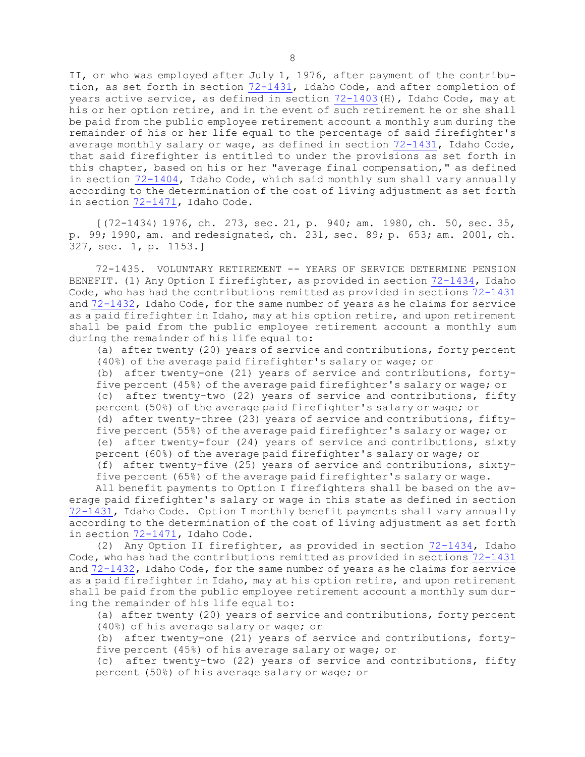II, or who was employed after July 1, 1976, after payment of the contribution, as set forth in section [72-1431](https://legislature.idaho.gov/statutesrules/idstat/Title72/T72CH14/SECT72-1431), Idaho Code, and after completion of years active service, as defined in section [72-1403](https://legislature.idaho.gov/statutesrules/idstat/Title72/T72CH14/SECT72-1403)(H), Idaho Code, may at his or her option retire, and in the event of such retirement he or she shall be paid from the public employee retirement account <sup>a</sup> monthly sum during the remainder of his or her life equal to the percentage of said firefighter's average monthly salary or wage, as defined in section [72-1431](https://legislature.idaho.gov/statutesrules/idstat/Title72/T72CH14/SECT72-1431), Idaho Code, that said firefighter is entitled to under the provisions as set forth in this chapter, based on his or her "average final compensation," as defined in section [72-1404](https://legislature.idaho.gov/statutesrules/idstat/Title72/T72CH14/SECT72-1404), Idaho Code, which said monthly sum shall vary annually according to the determination of the cost of living adjustment as set forth in section [72-1471](https://legislature.idaho.gov/statutesrules/idstat/Title72/T72CH14/SECT72-1471), Idaho Code.

[(72-1434) 1976, ch. 273, sec. 21, p. 940; am. 1980, ch. 50, sec. 35, p. 99; 1990, am. and redesignated, ch. 231, sec. 89; p. 653; am. 2001, ch. 327, sec. 1, p. 1153.]

72-1435. VOLUNTARY RETIREMENT -- YEARS OF SERVICE DETERMINE PENSION BENEFIT. (1) Any Option <sup>I</sup> firefighter, as provided in section [72-1434](https://legislature.idaho.gov/statutesrules/idstat/Title72/T72CH14/SECT72-1434), Idaho Code, who has had the contributions remitted as provided in sections [72-1431](https://legislature.idaho.gov/statutesrules/idstat/Title72/T72CH14/SECT72-1431) and [72-1432](https://legislature.idaho.gov/statutesrules/idstat/Title72/T72CH14/SECT72-1432), Idaho Code, for the same number of years as he claims for service as <sup>a</sup> paid firefighter in Idaho, may at his option retire, and upon retirement shall be paid from the public employee retirement account <sup>a</sup> monthly sum during the remainder of his life equal to:

(a) after twenty (20) years of service and contributions, forty percent (40%) of the average paid firefighter's salary or wage; or

(b) after twenty-one (21) years of service and contributions, fortyfive percent (45%) of the average paid firefighter's salary or wage; or (c) after twenty-two (22) years of service and contributions, fifty percent (50%) of the average paid firefighter's salary or wage; or (d) after twenty-three (23) years of service and contributions, fiftyfive percent (55%) of the average paid firefighter's salary or wage; or (e) after twenty-four (24) years of service and contributions, sixty

percent (60%) of the average paid firefighter's salary or wage; or (f) after twenty-five (25) years of service and contributions, sixtyfive percent (65%) of the average paid firefighter's salary or wage.

All benefit payments to Option <sup>I</sup> firefighters shall be based on the average paid firefighter's salary or wage in this state as defined in section [72-1431](https://legislature.idaho.gov/statutesrules/idstat/Title72/T72CH14/SECT72-1431), Idaho Code. Option <sup>I</sup> monthly benefit payments shall vary annually according to the determination of the cost of living adjustment as set forth in section [72-1471](https://legislature.idaho.gov/statutesrules/idstat/Title72/T72CH14/SECT72-1471), Idaho Code.

(2) Any Option II firefighter, as provided in section [72-1434](https://legislature.idaho.gov/statutesrules/idstat/Title72/T72CH14/SECT72-1434), Idaho Code, who has had the contributions remitted as provided in sections [72-1431](https://legislature.idaho.gov/statutesrules/idstat/Title72/T72CH14/SECT72-1431) and [72-1432](https://legislature.idaho.gov/statutesrules/idstat/Title72/T72CH14/SECT72-1432), Idaho Code, for the same number of years as he claims for service as <sup>a</sup> paid firefighter in Idaho, may at his option retire, and upon retirement shall be paid from the public employee retirement account <sup>a</sup> monthly sum during the remainder of his life equal to:

(a) after twenty (20) years of service and contributions, forty percent (40%) of his average salary or wage; or

(b) after twenty-one (21) years of service and contributions, fortyfive percent (45%) of his average salary or wage; or

(c) after twenty-two (22) years of service and contributions, fifty percent (50%) of his average salary or wage; or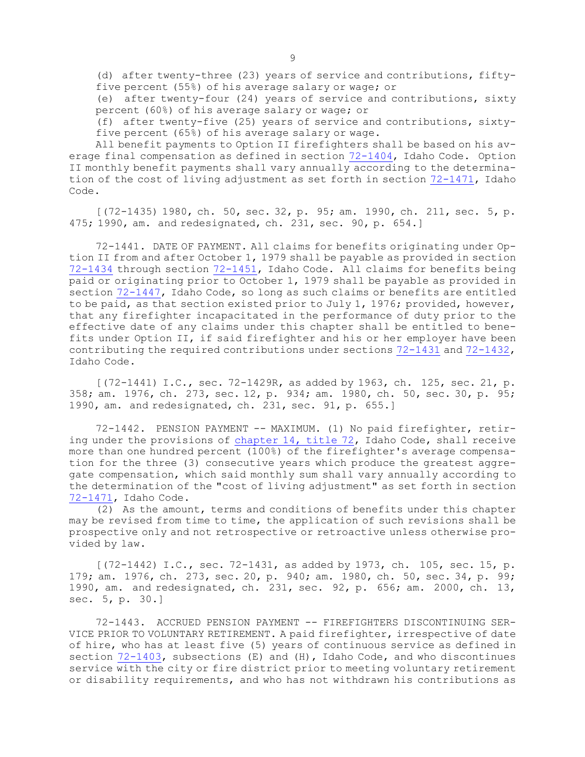(d) after twenty-three (23) years of service and contributions, fiftyfive percent (55%) of his average salary or wage; or

(e) after twenty-four (24) years of service and contributions, sixty percent (60%) of his average salary or wage; or

(f) after twenty-five (25) years of service and contributions, sixtyfive percent (65%) of his average salary or wage.

All benefit payments to Option II firefighters shall be based on his average final compensation as defined in section [72-1404](https://legislature.idaho.gov/statutesrules/idstat/Title72/T72CH14/SECT72-1404), Idaho Code. Option II monthly benefit payments shall vary annually according to the determination of the cost of living adjustment as set forth in section [72-1471](https://legislature.idaho.gov/statutesrules/idstat/Title72/T72CH14/SECT72-1471), Idaho Code.

[(72-1435) 1980, ch. 50, sec. 32, p. 95; am. 1990, ch. 211, sec. 5, p. 475; 1990, am. and redesignated, ch. 231, sec. 90, p. 654.]

72-1441. DATE OF PAYMENT. All claims for benefits originating under Option II from and after October 1, 1979 shall be payable as provided in section [72-1434](https://legislature.idaho.gov/statutesrules/idstat/Title72/T72CH14/SECT72-1434) through section [72-1451](https://legislature.idaho.gov/statutesrules/idstat/Title72/T72CH14/SECT72-1451), Idaho Code. All claims for benefits being paid or originating prior to October 1, 1979 shall be payable as provided in section [72-1447](https://legislature.idaho.gov/statutesrules/idstat/Title72/T72CH14/SECT72-1447), Idaho Code, so long as such claims or benefits are entitled to be paid, as that section existed prior to July 1, 1976; provided, however, that any firefighter incapacitated in the performance of duty prior to the effective date of any claims under this chapter shall be entitled to benefits under Option II, if said firefighter and his or her employer have been contributing the required contributions under sections [72-1431](https://legislature.idaho.gov/statutesrules/idstat/Title72/T72CH14/SECT72-1431) and [72-1432](https://legislature.idaho.gov/statutesrules/idstat/Title72/T72CH14/SECT72-1432), Idaho Code.

[(72-1441) I.C., sec. 72-1429R, as added by 1963, ch. 125, sec. 21, p. 358; am. 1976, ch. 273, sec. 12, p. 934; am. 1980, ch. 50, sec. 30, p. 95; 1990, am. and redesignated, ch. 231, sec. 91, p. 655.]

72-1442. PENSION PAYMENT -- MAXIMUM. (1) No paid firefighter, retiring under the provisions of [chapter](https://legislature.idaho.gov/statutesrules/idstat/Title72/T72CH14) 14, title 72, Idaho Code, shall receive more than one hundred percent (100%) of the firefighter's average compensation for the three (3) consecutive years which produce the greatest aggregate compensation, which said monthly sum shall vary annually according to the determination of the "cost of living adjustment" as set forth in section [72-1471](https://legislature.idaho.gov/statutesrules/idstat/Title72/T72CH14/SECT72-1471), Idaho Code.

(2) As the amount, terms and conditions of benefits under this chapter may be revised from time to time, the application of such revisions shall be prospective only and not retrospective or retroactive unless otherwise provided by law.

 $[(72-1442)$  I.C., sec. 72-1431, as added by 1973, ch. 105, sec. 15, p. 179; am. 1976, ch. 273, sec. 20, p. 940; am. 1980, ch. 50, sec. 34, p. 99; 1990, am. and redesignated, ch. 231, sec. 92, p. 656; am. 2000, ch. 13, sec. 5, p. 30.]

72-1443. ACCRUED PENSION PAYMENT -- FIREFIGHTERS DISCONTINUING SER-VICE PRIOR TO VOLUNTARY RETIREMENT. <sup>A</sup> paid firefighter, irrespective of date of hire, who has at least five (5) years of continuous service as defined in section [72-1403](https://legislature.idaho.gov/statutesrules/idstat/Title72/T72CH14/SECT72-1403), subsections (E) and (H), Idaho Code, and who discontinues service with the city or fire district prior to meeting voluntary retirement or disability requirements, and who has not withdrawn his contributions as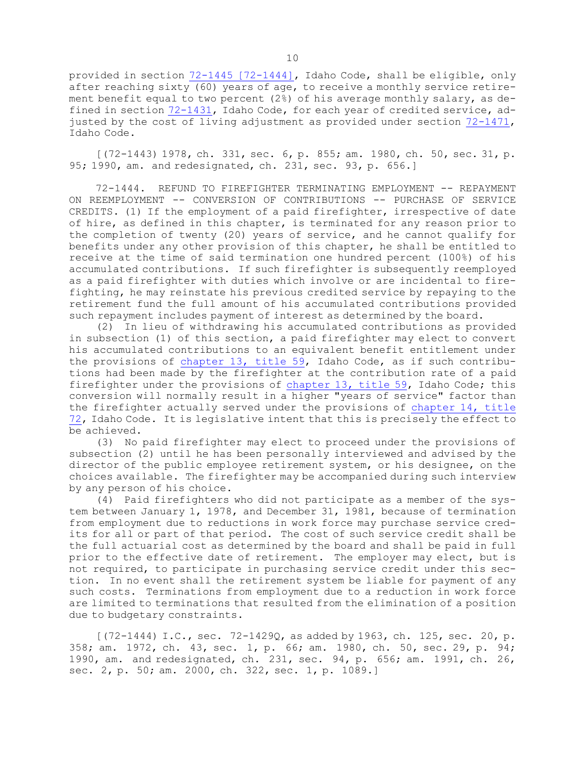provided in section 72-1445 [\[72-1444\]](https://legislature.idaho.gov/statutesrules/idstat/Title72/T72CH14/SECT72-1444), Idaho Code, shall be eligible, only after reaching sixty (60) years of age, to receive <sup>a</sup> monthly service retirement benefit equal to two percent (2%) of his average monthly salary, as defined in section [72-1431](https://legislature.idaho.gov/statutesrules/idstat/Title72/T72CH14/SECT72-1431), Idaho Code, for each year of credited service, adjusted by the cost of living adjustment as provided under section [72-1471](https://legislature.idaho.gov/statutesrules/idstat/Title72/T72CH14/SECT72-1471), Idaho Code.

[(72-1443) 1978, ch. 331, sec. 6, p. 855; am. 1980, ch. 50, sec. 31, p. 95; 1990, am. and redesignated, ch. 231, sec. 93, p. 656.]

72-1444. REFUND TO FIREFIGHTER TERMINATING EMPLOYMENT -- REPAYMENT ON REEMPLOYMENT -- CONVERSION OF CONTRIBUTIONS -- PURCHASE OF SERVICE CREDITS. (1) If the employment of <sup>a</sup> paid firefighter, irrespective of date of hire, as defined in this chapter, is terminated for any reason prior to the completion of twenty (20) years of service, and he cannot qualify for benefits under any other provision of this chapter, he shall be entitled to receive at the time of said termination one hundred percent (100%) of his accumulated contributions. If such firefighter is subsequently reemployed as <sup>a</sup> paid firefighter with duties which involve or are incidental to firefighting, he may reinstate his previous credited service by repaying to the retirement fund the full amount of his accumulated contributions provided such repayment includes payment of interest as determined by the board.

(2) In lieu of withdrawing his accumulated contributions as provided in subsection (1) of this section, <sup>a</sup> paid firefighter may elect to convert his accumulated contributions to an equivalent benefit entitlement under the provisions of [chapter](https://legislature.idaho.gov/statutesrules/idstat/Title59/T59CH13) 13, title 59, Idaho Code, as if such contributions had been made by the firefighter at the contribution rate of <sup>a</sup> paid firefighter under the provisions of [chapter](https://legislature.idaho.gov/statutesrules/idstat/Title59/T59CH13) 13, title 59, Idaho Code; this conversion will normally result in <sup>a</sup> higher "years of service" factor than the firefighter actually served under the provisions of [chapter](https://legislature.idaho.gov/statutesrules/idstat/Title72/T72CH14) 14, title [72](https://legislature.idaho.gov/statutesrules/idstat/Title72/T72CH14), Idaho Code. It is legislative intent that this is precisely the effect to be achieved.

(3) No paid firefighter may elect to proceed under the provisions of subsection (2) until he has been personally interviewed and advised by the director of the public employee retirement system, or his designee, on the choices available. The firefighter may be accompanied during such interview by any person of his choice.

(4) Paid firefighters who did not participate as <sup>a</sup> member of the system between January 1, 1978, and December 31, 1981, because of termination from employment due to reductions in work force may purchase service credits for all or part of that period. The cost of such service credit shall be the full actuarial cost as determined by the board and shall be paid in full prior to the effective date of retirement. The employer may elect, but is not required, to participate in purchasing service credit under this section. In no event shall the retirement system be liable for payment of any such costs. Terminations from employment due to <sup>a</sup> reduction in work force are limited to terminations that resulted from the elimination of <sup>a</sup> position due to budgetary constraints.

[(72-1444) I.C., sec. 72-1429Q, as added by 1963, ch. 125, sec. 20, p. 358; am. 1972, ch. 43, sec. 1, p. 66; am. 1980, ch. 50, sec. 29, p. 94; 1990, am. and redesignated, ch. 231, sec. 94, p. 656; am. 1991, ch. 26, sec. 2, p. 50; am. 2000, ch. 322, sec. 1, p. 1089.]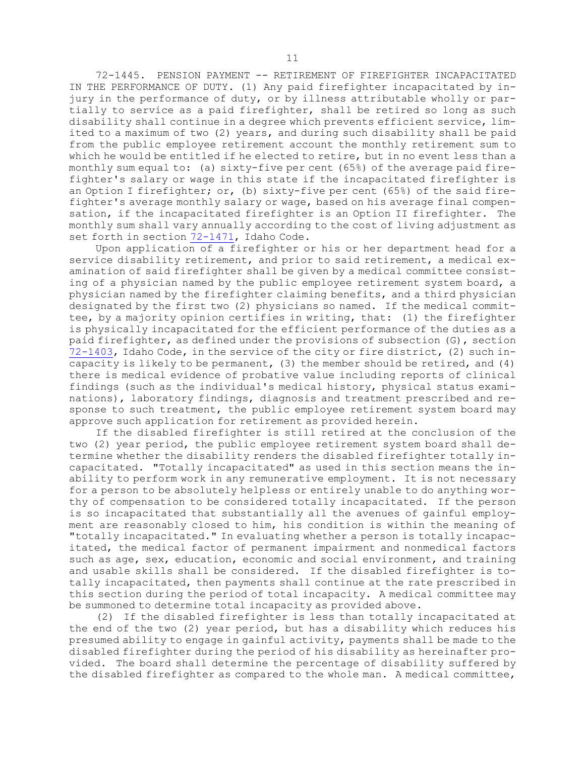72-1445. PENSION PAYMENT -- RETIREMENT OF FIREFIGHTER INCAPACITATED IN THE PERFORMANCE OF DUTY. (1) Any paid firefighter incapacitated by injury in the performance of duty, or by illness attributable wholly or partially to service as <sup>a</sup> paid firefighter, shall be retired so long as such disability shall continue in <sup>a</sup> degree which prevents efficient service, limited to <sup>a</sup> maximum of two (2) years, and during such disability shall be paid from the public employee retirement account the monthly retirement sum to which he would be entitled if he elected to retire, but in no event less than <sup>a</sup> monthly sum equal to: (a) sixty-five per cent (65%) of the average paid firefighter's salary or wage in this state if the incapacitated firefighter is an Option <sup>I</sup> firefighter; or, (b) sixty-five per cent (65%) of the said firefighter's average monthly salary or wage, based on his average final compensation, if the incapacitated firefighter is an Option II firefighter. The monthly sum shall vary annually according to the cost of living adjustment as set forth in section [72-1471](https://legislature.idaho.gov/statutesrules/idstat/Title72/T72CH14/SECT72-1471), Idaho Code.

Upon application of <sup>a</sup> firefighter or his or her department head for <sup>a</sup> service disability retirement, and prior to said retirement, <sup>a</sup> medical examination of said firefighter shall be given by <sup>a</sup> medical committee consisting of <sup>a</sup> physician named by the public employee retirement system board, <sup>a</sup> physician named by the firefighter claiming benefits, and <sup>a</sup> third physician designated by the first two (2) physicians so named. If the medical committee, by <sup>a</sup> majority opinion certifies in writing, that: (1) the firefighter is physically incapacitated for the efficient performance of the duties as <sup>a</sup> paid firefighter, as defined under the provisions of subsection (G), section [72-1403](https://legislature.idaho.gov/statutesrules/idstat/Title72/T72CH14/SECT72-1403), Idaho Code, in the service of the city or fire district, (2) such incapacity is likely to be permanent, (3) the member should be retired, and (4) there is medical evidence of probative value including reports of clinical findings (such as the individual's medical history, physical status examinations), laboratory findings, diagnosis and treatment prescribed and response to such treatment, the public employee retirement system board may approve such application for retirement as provided herein.

If the disabled firefighter is still retired at the conclusion of the two (2) year period, the public employee retirement system board shall determine whether the disability renders the disabled firefighter totally incapacitated. "Totally incapacitated" as used in this section means the inability to perform work in any remunerative employment. It is not necessary for <sup>a</sup> person to be absolutely helpless or entirely unable to do anything worthy of compensation to be considered totally incapacitated. If the person is so incapacitated that substantially all the avenues of gainful employment are reasonably closed to him, his condition is within the meaning of "totally incapacitated." In evaluating whether <sup>a</sup> person is totally incapacitated, the medical factor of permanent impairment and nonmedical factors such as age, sex, education, economic and social environment, and training and usable skills shall be considered. If the disabled firefighter is totally incapacitated, then payments shall continue at the rate prescribed in this section during the period of total incapacity. <sup>A</sup> medical committee may be summoned to determine total incapacity as provided above.

(2) If the disabled firefighter is less than totally incapacitated at the end of the two (2) year period, but has <sup>a</sup> disability which reduces his presumed ability to engage in gainful activity, payments shall be made to the disabled firefighter during the period of his disability as hereinafter provided. The board shall determine the percentage of disability suffered by the disabled firefighter as compared to the whole man. <sup>A</sup> medical committee,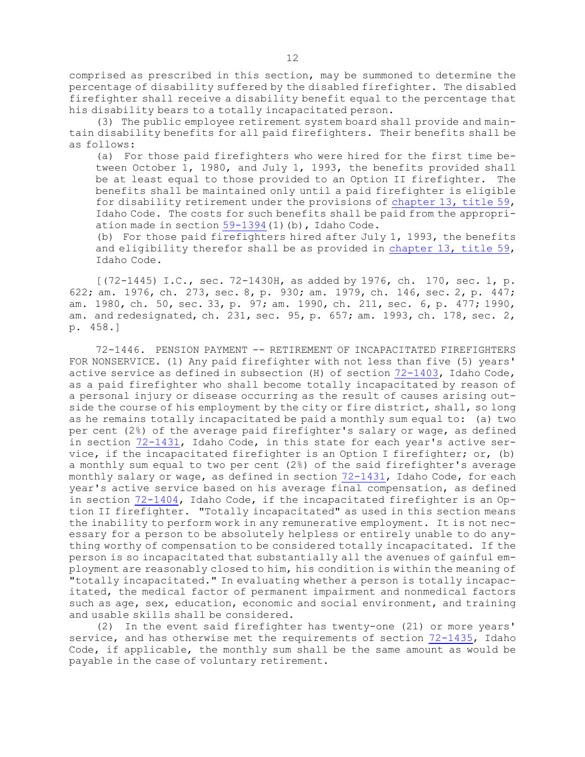comprised as prescribed in this section, may be summoned to determine the percentage of disability suffered by the disabled firefighter. The disabled firefighter shall receive <sup>a</sup> disability benefit equal to the percentage that his disability bears to <sup>a</sup> totally incapacitated person.

(3) The public employee retirement system board shall provide and maintain disability benefits for all paid firefighters. Their benefits shall be as follows:

(a) For those paid firefighters who were hired for the first time between October 1, 1980, and July 1, 1993, the benefits provided shall be at least equal to those provided to an Option II firefighter. The benefits shall be maintained only until <sup>a</sup> paid firefighter is eligible for disability retirement under the provisions of [chapter](https://legislature.idaho.gov/statutesrules/idstat/Title59/T59CH13) 13, title 59, Idaho Code. The costs for such benefits shall be paid from the appropriation made in section  $59-1394(1)$  $59-1394(1)$  (b), Idaho Code.

(b) For those paid firefighters hired after July 1, 1993, the benefits and eligibility therefor shall be as provided in [chapter](https://legislature.idaho.gov/statutesrules/idstat/Title59/T59CH13) 13, title 59, Idaho Code.

[(72-1445) I.C., sec. 72-1430H, as added by 1976, ch. 170, sec. 1, p. 622; am. 1976, ch. 273, sec. 8, p. 930; am. 1979, ch. 146, sec. 2, p. 447; am. 1980, ch. 50, sec. 33, p. 97; am. 1990, ch. 211, sec. 6, p. 477; 1990, am. and redesignated, ch. 231, sec. 95, p. 657; am. 1993, ch. 178, sec. 2, p. 458.]

72-1446. PENSION PAYMENT -- RETIREMENT OF INCAPACITATED FIREFIGHTERS FOR NONSERVICE. (1) Any paid firefighter with not less than five (5) years' active service as defined in subsection (H) of section [72-1403](https://legislature.idaho.gov/statutesrules/idstat/Title72/T72CH14/SECT72-1403), Idaho Code, as <sup>a</sup> paid firefighter who shall become totally incapacitated by reason of <sup>a</sup> personal injury or disease occurring as the result of causes arising outside the course of his employment by the city or fire district, shall, so long as he remains totally incapacitated be paid <sup>a</sup> monthly sum equal to: (a) two per cent (2%) of the average paid firefighter's salary or wage, as defined in section [72-1431](https://legislature.idaho.gov/statutesrules/idstat/Title72/T72CH14/SECT72-1431), Idaho Code, in this state for each year's active service, if the incapacitated firefighter is an Option <sup>I</sup> firefighter; or, (b) <sup>a</sup> monthly sum equal to two per cent (2%) of the said firefighter's average monthly salary or wage, as defined in section [72-1431](https://legislature.idaho.gov/statutesrules/idstat/Title72/T72CH14/SECT72-1431), Idaho Code, for each year's active service based on his average final compensation, as defined in section [72-1404](https://legislature.idaho.gov/statutesrules/idstat/Title72/T72CH14/SECT72-1404), Idaho Code, if the incapacitated firefighter is an Option II firefighter. "Totally incapacitated" as used in this section means the inability to perform work in any remunerative employment. It is not necessary for <sup>a</sup> person to be absolutely helpless or entirely unable to do anything worthy of compensation to be considered totally incapacitated. If the person is so incapacitated that substantially all the avenues of gainful employment are reasonably closed to him, his condition is within the meaning of "totally incapacitated." In evaluating whether <sup>a</sup> person is totally incapacitated, the medical factor of permanent impairment and nonmedical factors such as age, sex, education, economic and social environment, and training and usable skills shall be considered.

(2) In the event said firefighter has twenty-one (21) or more years' service, and has otherwise met the requirements of section [72-1435](https://legislature.idaho.gov/statutesrules/idstat/Title72/T72CH14/SECT72-1435), Idaho Code, if applicable, the monthly sum shall be the same amount as would be payable in the case of voluntary retirement.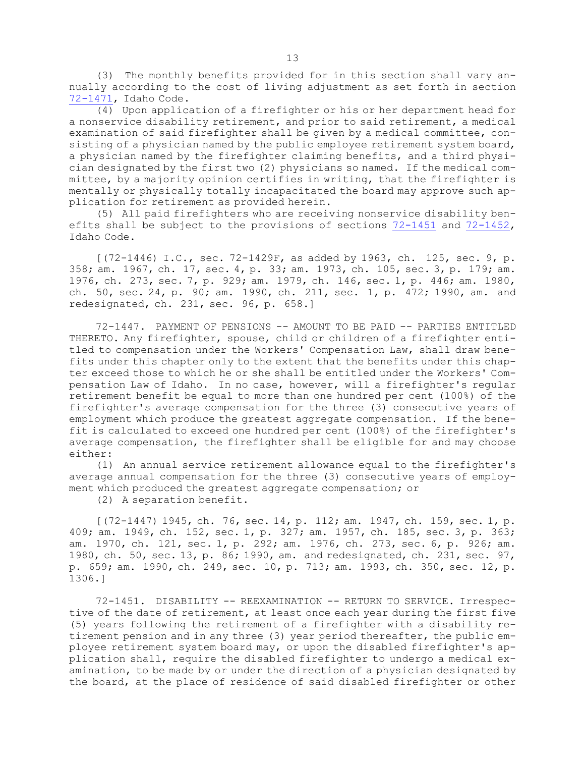(3) The monthly benefits provided for in this section shall vary annually according to the cost of living adjustment as set forth in section [72-1471](https://legislature.idaho.gov/statutesrules/idstat/Title72/T72CH14/SECT72-1471), Idaho Code.

 $\overline{(4)}$  Upon application of a firefighter or his or her department head for <sup>a</sup> nonservice disability retirement, and prior to said retirement, <sup>a</sup> medical examination of said firefighter shall be given by <sup>a</sup> medical committee, consisting of <sup>a</sup> physician named by the public employee retirement system board, <sup>a</sup> physician named by the firefighter claiming benefits, and <sup>a</sup> third physician designated by the first two (2) physicians so named. If the medical committee, by <sup>a</sup> majority opinion certifies in writing, that the firefighter is mentally or physically totally incapacitated the board may approve such application for retirement as provided herein.

(5) All paid firefighters who are receiving nonservice disability benefits shall be subject to the provisions of sections [72-1451](https://legislature.idaho.gov/statutesrules/idstat/Title72/T72CH14/SECT72-1451) and [72-1452](https://legislature.idaho.gov/statutesrules/idstat/Title72/T72CH14/SECT72-1452), Idaho Code.

[(72-1446) I.C., sec. 72-1429F, as added by 1963, ch. 125, sec. 9, p. 358; am. 1967, ch. 17, sec. 4, p. 33; am. 1973, ch. 105, sec. 3, p. 179; am. 1976, ch. 273, sec. 7, p. 929; am. 1979, ch. 146, sec. 1, p. 446; am. 1980, ch. 50, sec. 24, p. 90; am. 1990, ch. 211, sec. 1, p. 472; 1990, am. and redesignated, ch. 231, sec. 96, p. 658.]

72-1447. PAYMENT OF PENSIONS -- AMOUNT TO BE PAID -- PARTIES ENTITLED THERETO. Any firefighter, spouse, child or children of <sup>a</sup> firefighter entitled to compensation under the Workers' Compensation Law, shall draw benefits under this chapter only to the extent that the benefits under this chapter exceed those to which he or she shall be entitled under the Workers' Compensation Law of Idaho. In no case, however, will <sup>a</sup> firefighter's regular retirement benefit be equal to more than one hundred per cent (100%) of the firefighter's average compensation for the three (3) consecutive years of employment which produce the greatest aggregate compensation. If the benefit is calculated to exceed one hundred per cent (100%) of the firefighter's average compensation, the firefighter shall be eligible for and may choose either:

(1) An annual service retirement allowance equal to the firefighter's average annual compensation for the three (3) consecutive years of employment which produced the greatest aggregate compensation; or

(2) <sup>A</sup> separation benefit.

[(72-1447) 1945, ch. 76, sec. 14, p. 112; am. 1947, ch. 159, sec. 1, p. 409; am. 1949, ch. 152, sec. 1, p. 327; am. 1957, ch. 185, sec. 3, p. 363; am. 1970, ch. 121, sec. 1, p. 292; am. 1976, ch. 273, sec. 6, p. 926; am. 1980, ch. 50, sec. 13, p. 86; 1990, am. and redesignated, ch. 231, sec. 97, p. 659; am. 1990, ch. 249, sec. 10, p. 713; am. 1993, ch. 350, sec. 12, p. 1306.]

72-1451. DISABILITY -- REEXAMINATION -- RETURN TO SERVICE. Irrespective of the date of retirement, at least once each year during the first five (5) years following the retirement of <sup>a</sup> firefighter with <sup>a</sup> disability retirement pension and in any three (3) year period thereafter, the public employee retirement system board may, or upon the disabled firefighter's application shall, require the disabled firefighter to undergo <sup>a</sup> medical examination, to be made by or under the direction of <sup>a</sup> physician designated by the board, at the place of residence of said disabled firefighter or other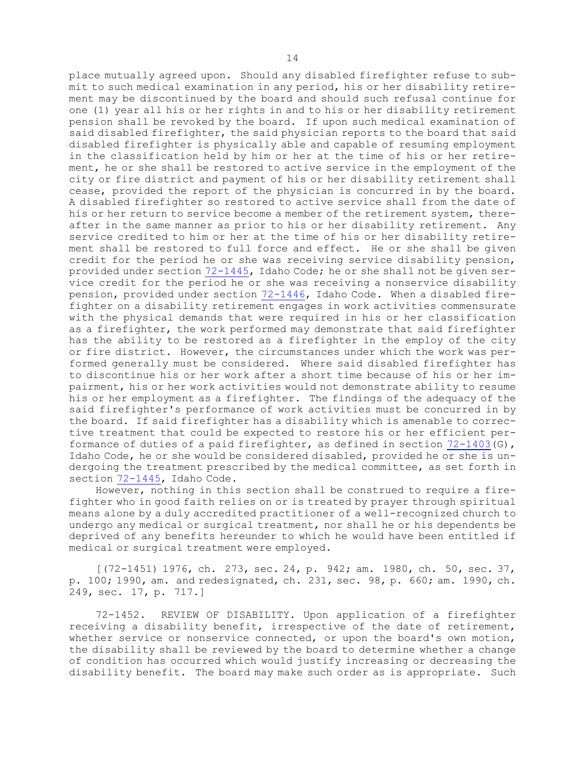place mutually agreed upon. Should any disabled firefighter refuse to submit to such medical examination in any period, his or her disability retirement may be discontinued by the board and should such refusal continue for one (1) year all his or her rights in and to his or her disability retirement pension shall be revoked by the board. If upon such medical examination of said disabled firefighter, the said physician reports to the board that said disabled firefighter is physically able and capable of resuming employment in the classification held by him or her at the time of his or her retirement, he or she shall be restored to active service in the employment of the city or fire district and payment of his or her disability retirement shall cease, provided the report of the physician is concurred in by the board. <sup>A</sup> disabled firefighter so restored to active service shall from the date of his or her return to service become <sup>a</sup> member of the retirement system, thereafter in the same manner as prior to his or her disability retirement. Any service credited to him or her at the time of his or her disability retirement shall be restored to full force and effect. He or she shall be given credit for the period he or she was receiving service disability pension, provided under section [72-1445](https://legislature.idaho.gov/statutesrules/idstat/Title72/T72CH14/SECT72-1445), Idaho Code; he or she shall not be given service credit for the period he or she was receiving <sup>a</sup> nonservice disability pension, provided under section [72-1446](https://legislature.idaho.gov/statutesrules/idstat/Title72/T72CH14/SECT72-1446), Idaho Code. When <sup>a</sup> disabled firefighter on <sup>a</sup> disability retirement engages in work activities commensurate with the physical demands that were required in his or her classification as <sup>a</sup> firefighter, the work performed may demonstrate that said firefighter has the ability to be restored as <sup>a</sup> firefighter in the employ of the city or fire district. However, the circumstances under which the work was performed generally must be considered. Where said disabled firefighter has to discontinue his or her work after <sup>a</sup> short time because of his or her impairment, his or her work activities would not demonstrate ability to resume his or her employment as <sup>a</sup> firefighter. The findings of the adequacy of the said firefighter's performance of work activities must be concurred in by the board. If said firefighter has <sup>a</sup> disability which is amenable to corrective treatment that could be expected to restore his or her efficient performance of duties of <sup>a</sup> paid firefighter, as defined in section [72-1403](https://legislature.idaho.gov/statutesrules/idstat/Title72/T72CH14/SECT72-1403)(G), Idaho Code, he or she would be considered disabled, provided he or she is undergoing the treatment prescribed by the medical committee, as set forth in section [72-1445](https://legislature.idaho.gov/statutesrules/idstat/Title72/T72CH14/SECT72-1445), Idaho Code.

However, nothing in this section shall be construed to require <sup>a</sup> firefighter who in good faith relies on or is treated by prayer through spiritual means alone by <sup>a</sup> duly accredited practitioner of <sup>a</sup> well-recognized church to undergo any medical or surgical treatment, nor shall he or his dependents be deprived of any benefits hereunder to which he would have been entitled if medical or surgical treatment were employed.

[(72-1451) 1976, ch. 273, sec. 24, p. 942; am. 1980, ch. 50, sec. 37, p. 100; 1990, am. and redesignated, ch. 231, sec. 98, p. 660; am. 1990, ch. 249, sec. 17, p. 717.]

72-1452. REVIEW OF DISABILITY. Upon application of <sup>a</sup> firefighter receiving <sup>a</sup> disability benefit, irrespective of the date of retirement, whether service or nonservice connected, or upon the board's own motion, the disability shall be reviewed by the board to determine whether <sup>a</sup> change of condition has occurred which would justify increasing or decreasing the disability benefit. The board may make such order as is appropriate. Such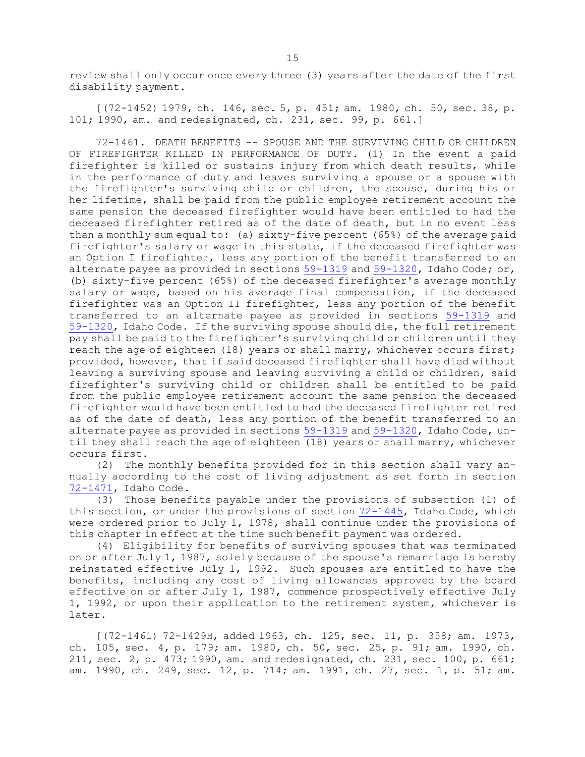review shall only occur once every three (3) years after the date of the first disability payment.

[(72-1452) 1979, ch. 146, sec. 5, p. 451; am. 1980, ch. 50, sec. 38, p. 101; 1990, am. and redesignated, ch. 231, sec. 99, p. 661.]

72-1461. DEATH BENEFITS -- SPOUSE AND THE SURVIVING CHILD OR CHILDREN OF FIREFIGHTER KILLED IN PERFORMANCE OF DUTY. (1) In the event <sup>a</sup> paid firefighter is killed or sustains injury from which death results, while in the performance of duty and leaves surviving <sup>a</sup> spouse or <sup>a</sup> spouse with the firefighter's surviving child or children, the spouse, during his or her lifetime, shall be paid from the public employee retirement account the same pension the deceased firefighter would have been entitled to had the deceased firefighter retired as of the date of death, but in no event less than <sup>a</sup> monthly sum equal to: (a) sixty-five percent (65%) of the average paid firefighter's salary or wage in this state, if the deceased firefighter was an Option <sup>I</sup> firefighter, less any portion of the benefit transferred to an alternate payee as provided in sections [59-1319](https://legislature.idaho.gov/statutesrules/idstat/Title59/T59CH13/SECT59-1319) and [59-1320](https://legislature.idaho.gov/statutesrules/idstat/Title59/T59CH13/SECT59-1320), Idaho Code; or, (b) sixty-five percent (65%) of the deceased firefighter's average monthly salary or wage, based on his average final compensation, if the deceased firefighter was an Option II firefighter, less any portion of the benefit transferred to an alternate payee as provided in sections [59-1319](https://legislature.idaho.gov/statutesrules/idstat/Title59/T59CH13/SECT59-1319) and [59-1320](https://legislature.idaho.gov/statutesrules/idstat/Title59/T59CH13/SECT59-1320), Idaho Code. If the surviving spouse should die, the full retirement pay shall be paid to the firefighter's surviving child or children until they reach the age of eighteen (18) years or shall marry, whichever occurs first; provided, however, that if said deceased firefighter shall have died without leaving <sup>a</sup> surviving spouse and leaving surviving <sup>a</sup> child or children, said firefighter's surviving child or children shall be entitled to be paid from the public employee retirement account the same pension the deceased firefighter would have been entitled to had the deceased firefighter retired as of the date of death, less any portion of the benefit transferred to an alternate payee as provided in sections [59-1319](https://legislature.idaho.gov/statutesrules/idstat/Title59/T59CH13/SECT59-1319) and [59-1320](https://legislature.idaho.gov/statutesrules/idstat/Title59/T59CH13/SECT59-1320), Idaho Code, until they shall reach the age of eighteen (18) years or shall marry, whichever occurs first.

(2) The monthly benefits provided for in this section shall vary annually according to the cost of living adjustment as set forth in section [72-1471](https://legislature.idaho.gov/statutesrules/idstat/Title72/T72CH14/SECT72-1471), Idaho Code.

(3) Those benefits payable under the provisions of subsection (1) of this section, or under the provisions of section [72-1445](https://legislature.idaho.gov/statutesrules/idstat/Title72/T72CH14/SECT72-1445), Idaho Code, which were ordered prior to July 1, 1978, shall continue under the provisions of this chapter in effect at the time such benefit payment was ordered.

(4) Eligibility for benefits of surviving spouses that was terminated on or after July 1, 1987, solely because of the spouse's remarriage is hereby reinstated effective July 1, 1992. Such spouses are entitled to have the benefits, including any cost of living allowances approved by the board effective on or after July 1, 1987, commence prospectively effective July 1, 1992, or upon their application to the retirement system, whichever is later.

[(72-1461) 72-1429H, added 1963, ch. 125, sec. 11, p. 358; am. 1973, ch. 105, sec. 4, p. 179; am. 1980, ch. 50, sec. 25, p. 91; am. 1990, ch. 211, sec. 2, p. 473; 1990, am. and redesignated, ch. 231, sec. 100, p. 661; am. 1990, ch. 249, sec. 12, p. 714; am. 1991, ch. 27, sec. 1, p. 51; am.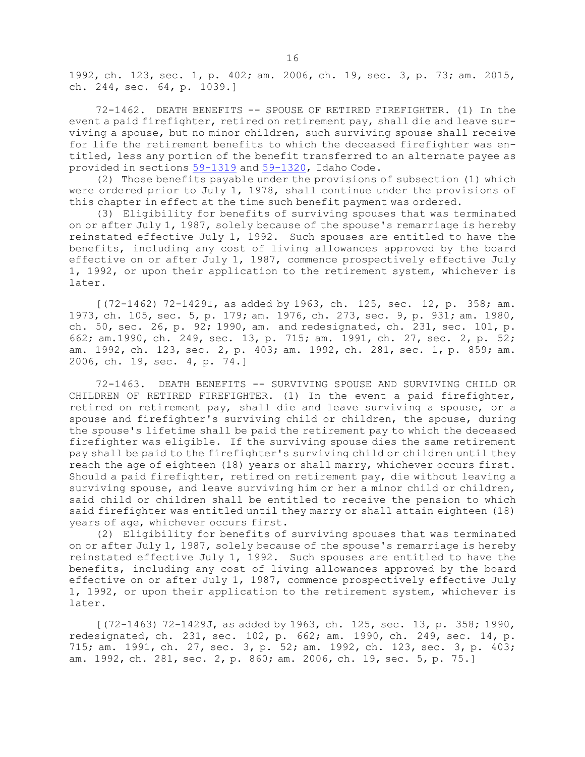1992, ch. 123, sec. 1, p. 402; am. 2006, ch. 19, sec. 3, p. 73; am. 2015, ch. 244, sec. 64, p. 1039.]

72-1462. DEATH BENEFITS -- SPOUSE OF RETIRED FIREFIGHTER. (1) In the event <sup>a</sup> paid firefighter, retired on retirement pay, shall die and leave surviving <sup>a</sup> spouse, but no minor children, such surviving spouse shall receive for life the retirement benefits to which the deceased firefighter was entitled, less any portion of the benefit transferred to an alternate payee as provided in sections [59-1319](https://legislature.idaho.gov/statutesrules/idstat/Title59/T59CH13/SECT59-1319) and [59-1320](https://legislature.idaho.gov/statutesrules/idstat/Title59/T59CH13/SECT59-1320), Idaho Code.

(2) Those benefits payable under the provisions of subsection (1) which were ordered prior to July 1, 1978, shall continue under the provisions of this chapter in effect at the time such benefit payment was ordered.

(3) Eligibility for benefits of surviving spouses that was terminated on or after July 1, 1987, solely because of the spouse's remarriage is hereby reinstated effective July 1, 1992. Such spouses are entitled to have the benefits, including any cost of living allowances approved by the board effective on or after July 1, 1987, commence prospectively effective July 1, 1992, or upon their application to the retirement system, whichever is later.

[(72-1462) 72-1429I, as added by 1963, ch. 125, sec. 12, p. 358; am. 1973, ch. 105, sec. 5, p. 179; am. 1976, ch. 273, sec. 9, p. 931; am. 1980, ch. 50, sec. 26, p. 92; 1990, am. and redesignated, ch. 231, sec. 101, p. 662; am.1990, ch. 249, sec. 13, p. 715; am. 1991, ch. 27, sec. 2, p. 52; am. 1992, ch. 123, sec. 2, p. 403; am. 1992, ch. 281, sec. 1, p. 859; am. 2006, ch. 19, sec. 4, p. 74.]

72-1463. DEATH BENEFITS -- SURVIVING SPOUSE AND SURVIVING CHILD OR CHILDREN OF RETIRED FIREFIGHTER. (1) In the event <sup>a</sup> paid firefighter, retired on retirement pay, shall die and leave surviving <sup>a</sup> spouse, or <sup>a</sup> spouse and firefighter's surviving child or children, the spouse, during the spouse's lifetime shall be paid the retirement pay to which the deceased firefighter was eligible. If the surviving spouse dies the same retirement pay shall be paid to the firefighter's surviving child or children until they reach the age of eighteen (18) years or shall marry, whichever occurs first. Should <sup>a</sup> paid firefighter, retired on retirement pay, die without leaving <sup>a</sup> surviving spouse, and leave surviving him or her a minor child or children, said child or children shall be entitled to receive the pension to which said firefighter was entitled until they marry or shall attain eighteen (18) years of age, whichever occurs first.

(2) Eligibility for benefits of surviving spouses that was terminated on or after July 1, 1987, solely because of the spouse's remarriage is hereby reinstated effective July 1, 1992. Such spouses are entitled to have the benefits, including any cost of living allowances approved by the board effective on or after July 1, 1987, commence prospectively effective July 1, 1992, or upon their application to the retirement system, whichever is later.

[(72-1463) 72-1429J, as added by 1963, ch. 125, sec. 13, p. 358; 1990, redesignated, ch. 231, sec. 102, p. 662; am. 1990, ch. 249, sec. 14, p. 715; am. 1991, ch. 27, sec. 3, p. 52; am. 1992, ch. 123, sec. 3, p. 403; am. 1992, ch. 281, sec. 2, p. 860; am. 2006, ch. 19, sec. 5, p. 75.]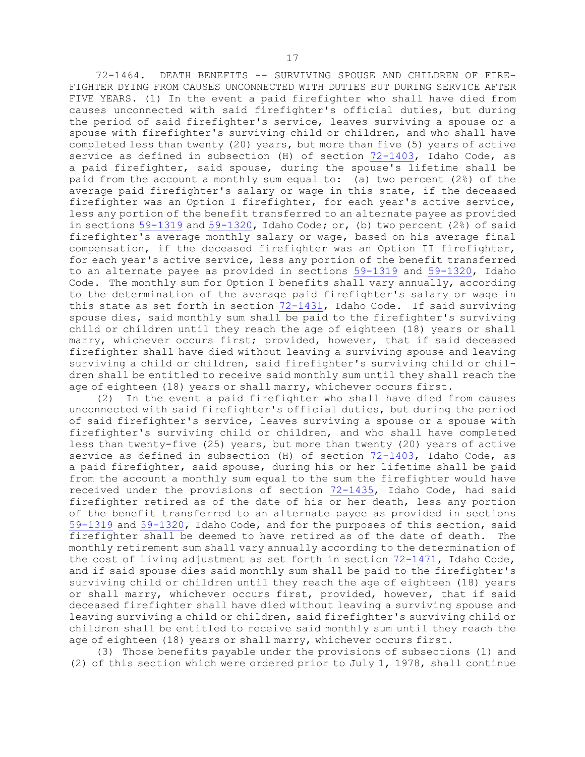72-1464. DEATH BENEFITS -- SURVIVING SPOUSE AND CHILDREN OF FIRE-FIGHTER DYING FROM CAUSES UNCONNECTED WITH DUTIES BUT DURING SERVICE AFTER FIVE YEARS. (1) In the event <sup>a</sup> paid firefighter who shall have died from causes unconnected with said firefighter's official duties, but during the period of said firefighter's service, leaves surviving <sup>a</sup> spouse or <sup>a</sup> spouse with firefighter's surviving child or children, and who shall have completed less than twenty (20) years, but more than five (5) years of active service as defined in subsection (H) of section [72-1403](https://legislature.idaho.gov/statutesrules/idstat/Title72/T72CH14/SECT72-1403), Idaho Code, as <sup>a</sup> paid firefighter, said spouse, during the spouse's lifetime shall be paid from the account <sup>a</sup> monthly sum equal to: (a) two percent (2%) of the average paid firefighter's salary or wage in this state, if the deceased firefighter was an Option <sup>I</sup> firefighter, for each year's active service, less any portion of the benefit transferred to an alternate payee as provided in sections [59-1319](https://legislature.idaho.gov/statutesrules/idstat/Title59/T59CH13/SECT59-1319) and [59-1320](https://legislature.idaho.gov/statutesrules/idstat/Title59/T59CH13/SECT59-1320), Idaho Code; or, (b) two percent (2%) of said firefighter's average monthly salary or wage, based on his average final compensation, if the deceased firefighter was an Option II firefighter, for each year's active service, less any portion of the benefit transferred to an alternate payee as provided in sections [59-1319](https://legislature.idaho.gov/statutesrules/idstat/Title59/T59CH13/SECT59-1319) and [59-1320](https://legislature.idaho.gov/statutesrules/idstat/Title59/T59CH13/SECT59-1320), Idaho Code. The monthly sum for Option <sup>I</sup> benefits shall vary annually, according to the determination of the average paid firefighter's salary or wage in this state as set forth in section [72-1431](https://legislature.idaho.gov/statutesrules/idstat/Title72/T72CH14/SECT72-1431), Idaho Code. If said surviving spouse dies, said monthly sum shall be paid to the firefighter's surviving child or children until they reach the age of eighteen (18) years or shall marry, whichever occurs first; provided, however, that if said deceased firefighter shall have died without leaving <sup>a</sup> surviving spouse and leaving surviving <sup>a</sup> child or children, said firefighter's surviving child or children shall be entitled to receive said monthly sum until they shall reach the age of eighteen (18) years or shall marry, whichever occurs first.

(2) In the event <sup>a</sup> paid firefighter who shall have died from causes unconnected with said firefighter's official duties, but during the period of said firefighter's service, leaves surviving <sup>a</sup> spouse or <sup>a</sup> spouse with firefighter's surviving child or children, and who shall have completed less than twenty-five (25) years, but more than twenty (20) years of active service as defined in subsection (H) of section [72-1403](https://legislature.idaho.gov/statutesrules/idstat/Title72/T72CH14/SECT72-1403), Idaho Code, as <sup>a</sup> paid firefighter, said spouse, during his or her lifetime shall be paid from the account <sup>a</sup> monthly sum equal to the sum the firefighter would have received under the provisions of section [72-1435](https://legislature.idaho.gov/statutesrules/idstat/Title72/T72CH14/SECT72-1435), Idaho Code, had said firefighter retired as of the date of his or her death, less any portion of the benefit transferred to an alternate payee as provided in sections [59-1319](https://legislature.idaho.gov/statutesrules/idstat/Title59/T59CH13/SECT59-1319) and [59-1320](https://legislature.idaho.gov/statutesrules/idstat/Title59/T59CH13/SECT59-1320), Idaho Code, and for the purposes of this section, said firefighter shall be deemed to have retired as of the date of death. The monthly retirement sum shall vary annually according to the determination of the cost of living adjustment as set forth in section [72-1471](https://legislature.idaho.gov/statutesrules/idstat/Title72/T72CH14/SECT72-1471), Idaho Code, and if said spouse dies said monthly sum shall be paid to the firefighter's surviving child or children until they reach the age of eighteen (18) years or shall marry, whichever occurs first, provided, however, that if said deceased firefighter shall have died without leaving <sup>a</sup> surviving spouse and leaving surviving <sup>a</sup> child or children, said firefighter's surviving child or children shall be entitled to receive said monthly sum until they reach the age of eighteen (18) years or shall marry, whichever occurs first.

(3) Those benefits payable under the provisions of subsections (1) and (2) of this section which were ordered prior to July 1, 1978, shall continue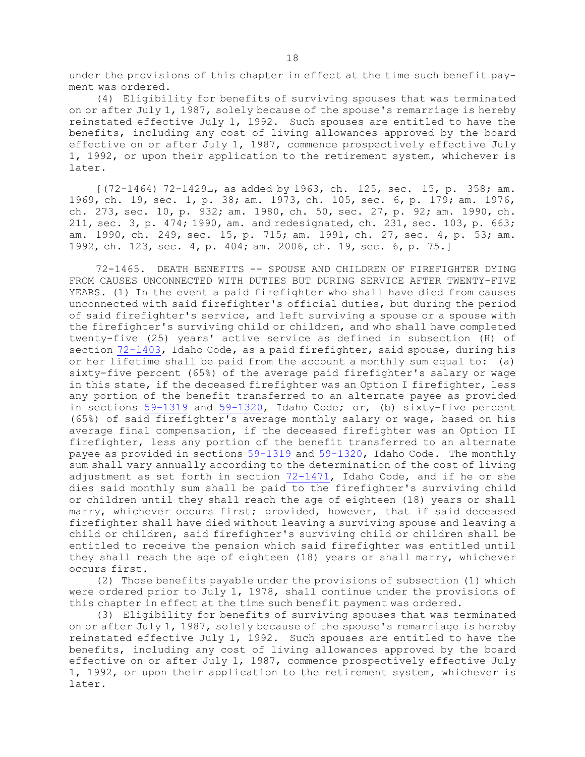under the provisions of this chapter in effect at the time such benefit payment was ordered.

(4) Eligibility for benefits of surviving spouses that was terminated on or after July 1, 1987, solely because of the spouse's remarriage is hereby reinstated effective July 1, 1992. Such spouses are entitled to have the benefits, including any cost of living allowances approved by the board effective on or after July 1, 1987, commence prospectively effective July 1, 1992, or upon their application to the retirement system, whichever is later.

[(72-1464) 72-1429L, as added by 1963, ch. 125, sec. 15, p. 358; am. 1969, ch. 19, sec. 1, p. 38; am. 1973, ch. 105, sec. 6, p. 179; am. 1976, ch. 273, sec. 10, p. 932; am. 1980, ch. 50, sec. 27, p. 92; am. 1990, ch. 211, sec. 3, p. 474; 1990, am. and redesignated, ch. 231, sec. 103, p. 663; am. 1990, ch. 249, sec. 15, p. 715; am. 1991, ch. 27, sec. 4, p. 53; am. 1992, ch. 123, sec. 4, p. 404; am. 2006, ch. 19, sec. 6, p. 75.]

72-1465. DEATH BENEFITS -- SPOUSE AND CHILDREN OF FIREFIGHTER DYING FROM CAUSES UNCONNECTED WITH DUTIES BUT DURING SERVICE AFTER TWENTY-FIVE YEARS. (1) In the event <sup>a</sup> paid firefighter who shall have died from causes unconnected with said firefighter's official duties, but during the period of said firefighter's service, and left surviving <sup>a</sup> spouse or <sup>a</sup> spouse with the firefighter's surviving child or children, and who shall have completed twenty-five (25) years' active service as defined in subsection (H) of section [72-1403](https://legislature.idaho.gov/statutesrules/idstat/Title72/T72CH14/SECT72-1403), Idaho Code, as a paid firefighter, said spouse, during his or her lifetime shall be paid from the account <sup>a</sup> monthly sum equal to: (a) sixty-five percent (65%) of the average paid firefighter's salary or wage in this state, if the deceased firefighter was an Option <sup>I</sup> firefighter, less any portion of the benefit transferred to an alternate payee as provided in sections [59-1319](https://legislature.idaho.gov/statutesrules/idstat/Title59/T59CH13/SECT59-1319) and [59-1320](https://legislature.idaho.gov/statutesrules/idstat/Title59/T59CH13/SECT59-1320), Idaho Code; or, (b) sixty-five percent (65%) of said firefighter's average monthly salary or wage, based on his average final compensation, if the deceased firefighter was an Option II firefighter, less any portion of the benefit transferred to an alternate payee as provided in sections [59-1319](https://legislature.idaho.gov/statutesrules/idstat/Title59/T59CH13/SECT59-1319) and [59-1320](https://legislature.idaho.gov/statutesrules/idstat/Title59/T59CH13/SECT59-1320), Idaho Code. The monthly sum shall vary annually according to the determination of the cost of living adjustment as set forth in section [72-1471](https://legislature.idaho.gov/statutesrules/idstat/Title72/T72CH14/SECT72-1471), Idaho Code, and if he or she dies said monthly sum shall be paid to the firefighter's surviving child or children until they shall reach the age of eighteen (18) years or shall marry, whichever occurs first; provided, however, that if said deceased firefighter shall have died without leaving <sup>a</sup> surviving spouse and leaving <sup>a</sup> child or children, said firefighter's surviving child or children shall be entitled to receive the pension which said firefighter was entitled until they shall reach the age of eighteen (18) years or shall marry, whichever occurs first.

(2) Those benefits payable under the provisions of subsection (1) which were ordered prior to July 1, 1978, shall continue under the provisions of this chapter in effect at the time such benefit payment was ordered.

(3) Eligibility for benefits of surviving spouses that was terminated on or after July 1, 1987, solely because of the spouse's remarriage is hereby reinstated effective July 1, 1992. Such spouses are entitled to have the benefits, including any cost of living allowances approved by the board effective on or after July 1, 1987, commence prospectively effective July 1, 1992, or upon their application to the retirement system, whichever is later.